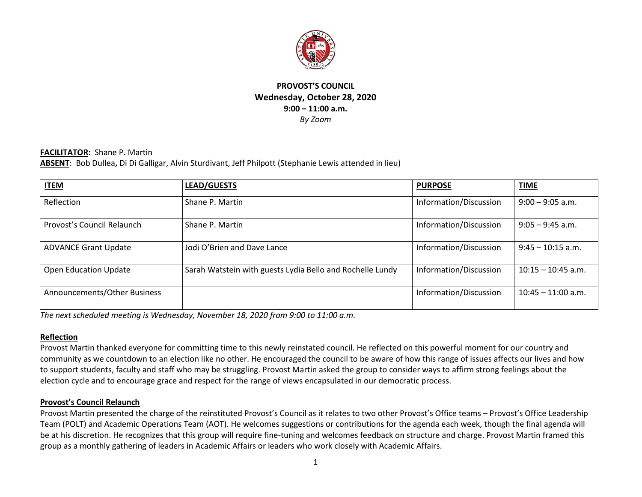

#### **PROVOST'S COUNCIL Wednesday, October 28, 2020 9:00 – 11:00 a.m.** *By Zoom*

#### **FACILITATOR:** Shane P. Martin **ABSENT**: Bob Dullea**,** Di Di Galligar, Alvin Sturdivant, Jeff Philpott (Stephanie Lewis attended in lieu)

| <b>ITEM</b>                  | <b>LEAD/GUESTS</b>                                        | <b>PURPOSE</b>         | <b>TIME</b>          |
|------------------------------|-----------------------------------------------------------|------------------------|----------------------|
| Reflection                   | Shane P. Martin                                           | Information/Discussion | $9:00 - 9:05$ a.m.   |
| Provost's Council Relaunch   | Shane P. Martin                                           | Information/Discussion | $9:05 - 9:45$ a.m.   |
| <b>ADVANCE Grant Update</b>  | Jodi O'Brien and Dave Lance                               | Information/Discussion | $9:45 - 10:15$ a.m.  |
| <b>Open Education Update</b> | Sarah Watstein with guests Lydia Bello and Rochelle Lundy | Information/Discussion | $10:15 - 10:45$ a.m. |
| Announcements/Other Business |                                                           | Information/Discussion | $10:45 - 11:00$ a.m. |

*The next scheduled meeting is Wednesday, November 18, 2020 from 9:00 to 11:00 a.m.*

#### **Reflection**

Provost Martin thanked everyone for committing time to this newly reinstated council. He reflected on this powerful moment for our country and community as we countdown to an election like no other. He encouraged the council to be aware of how this range of issues affects our lives and how to support students, faculty and staff who may be struggling. Provost Martin asked the group to consider ways to affirm strong feelings about the election cycle and to encourage grace and respect for the range of views encapsulated in our democratic process.

#### **Provost's Council Relaunch**

Provost Martin presented the charge of the reinstituted Provost's Council as it relates to two other Provost's Office teams – Provost's Office Leadership Team (POLT) and Academic Operations Team (AOT). He welcomes suggestions or contributions for the agenda each week, though the final agenda will be at his discretion. He recognizes that this group will require fine-tuning and welcomes feedback on structure and charge. Provost Martin framed this group as a monthly gathering of leaders in Academic Affairs or leaders who work closely with Academic Affairs.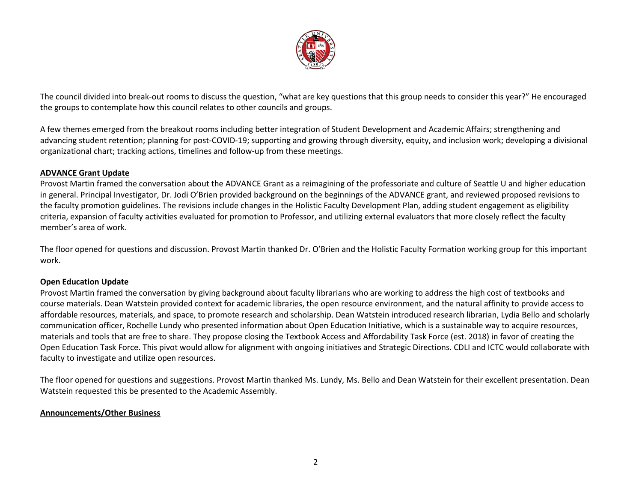

The council divided into break-out rooms to discuss the question, "what are key questions that this group needs to consider this year?" He encouraged the groups to contemplate how this council relates to other councils and groups.

A few themes emerged from the breakout rooms including better integration of Student Development and Academic Affairs; strengthening and advancing student retention; planning for post-COVID-19; supporting and growing through diversity, equity, and inclusion work; developing a divisional organizational chart; tracking actions, timelines and follow-up from these meetings.

#### **ADVANCE Grant Update**

Provost Martin framed the conversation about the ADVANCE Grant as a reimagining of the professoriate and culture of Seattle U and higher education in general. Principal Investigator, Dr. Jodi O'Brien provided background on the beginnings of the ADVANCE grant, and reviewed proposed revisions to the faculty promotion guidelines. The revisions include changes in the Holistic Faculty Development Plan, adding student engagement as eligibility criteria, expansion of faculty activities evaluated for promotion to Professor, and utilizing external evaluators that more closely reflect the faculty member's area of work.

The floor opened for questions and discussion. Provost Martin thanked Dr. O'Brien and the Holistic Faculty Formation working group for this important work.

#### **Open Education Update**

Provost Martin framed the conversation by giving background about faculty librarians who are working to address the high cost of textbooks and course materials. Dean Watstein provided context for academic libraries, the open resource environment, and the natural affinity to provide access to affordable resources, materials, and space, to promote research and scholarship. Dean Watstein introduced research librarian, Lydia Bello and scholarly communication officer, Rochelle Lundy who presented information about Open Education Initiative, which is a sustainable way to acquire resources, materials and tools that are free to share. They propose closing the Textbook Access and Affordability Task Force (est. 2018) in favor of creating the Open Education Task Force. This pivot would allow for alignment with ongoing initiatives and Strategic Directions. CDLI and ICTC would collaborate with faculty to investigate and utilize open resources.

The floor opened for questions and suggestions. Provost Martin thanked Ms. Lundy, Ms. Bello and Dean Watstein for their excellent presentation. Dean Watstein requested this be presented to the Academic Assembly.

#### **Announcements/Other Business**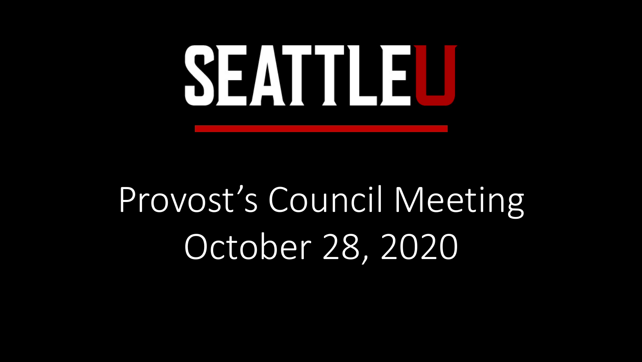# SEATTLEL

# Provost's Council Meeting October 28, 2020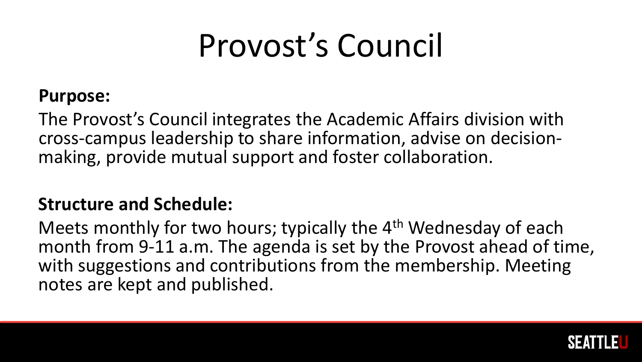## Provost's Council

#### **Purpose:**

The Provost's Council integrates the Academic Affairs division with cross-campus leadership to share information, advise on decision- making, provide mutual support and foster collaboration.

#### **Structure and Schedule:**

Meets monthly for two hours; typically the 4<sup>th</sup> Wednesday of each month from 9-11 a.m. The agenda is set by the Provost ahead of time, with suggestions and contributions from the membership. Meeting notes are kept and published.

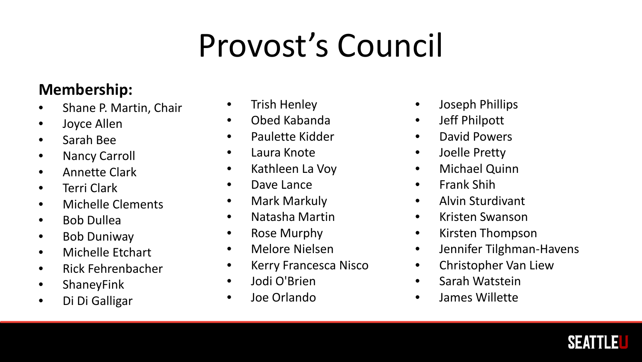## Provost's Council

#### **Membership:**

- Shane P. Martin, Chair
- Joyce Allen
- Sarah Bee
- Nancy Carroll
- Annette Clark
- Terri Clark
- Michelle Clements
- Bob Dullea
- Bob Duniway
- Michelle Etchart
- Rick Fehrenbacher
- ShaneyFink
- Di Di Galligar
- Trish Henley
- Obed Kabanda
- Paulette Kidder
- Laura Knote
- Kathleen La Voy
- Dave Lance
- Mark Markuly
- Natasha Martin
- Rose Murphy
- Melore Nielsen
- Kerry Francesca Nisco
- Jodi O'Brien
- Joe Orlando
- Joseph Phillips
- Jeff Philpott
- David Powers
- Joelle Pretty
- Michael Quinn
- Frank Shih
- Alvin Sturdivant
- Kristen Swanson
- Kirsten Thompson
- Jennifer Tilghman-Havens
- Christopher Van Liew
- Sarah Watstein
- James Willette

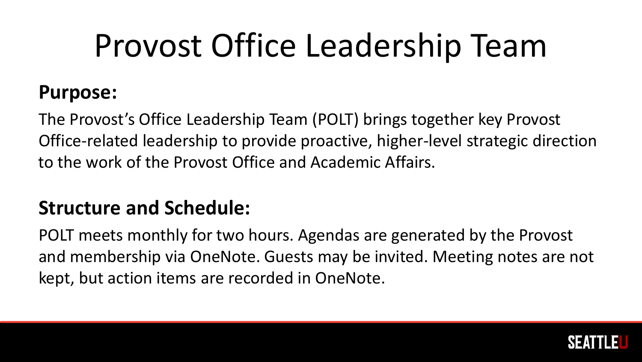## Provost Office Leadership Team

#### **Purpose:**

The Provost's Office Leadership Team (POLT) brings together key Provost Office-related leadership to provide proactive, higher-level strategic direction to the work of the Provost Office and Academic Affairs.

#### **Structure and Schedule:**

POLT meets monthly for two hours. Agendas are generated by the Provost and membership via OneNote. Guests may be invited. Meeting notes are not kept, but action items are recorded in OneNote.

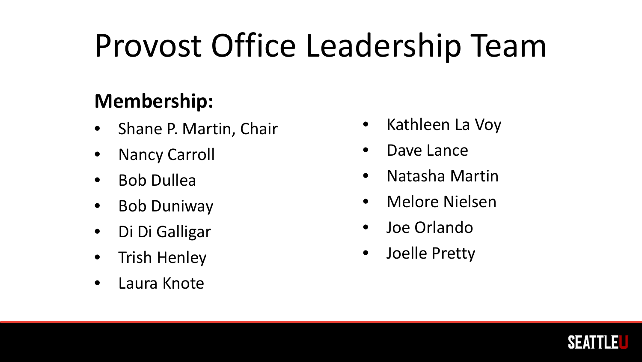## Provost Office Leadership Team

#### **Membership:**

- Shane P. Martin, Chair
- **Nancy Carroll**
- Bob Dullea
- Bob Duniway
- Di Di Galligar
- Trish Henley
- Laura Knote
- Kathleen La Voy
- Dave Lance
- Natasha Martin
- Melore Nielsen
- Joe Orlando
- Joelle Pretty

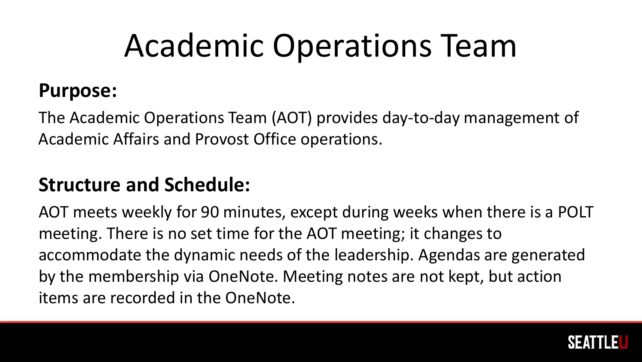## Academic Operations Team

#### **Purpose:**

The Academic Operations Team (AOT) provides day-to-day management of Academic Affairs and Provost Office operations.

#### **Structure and Schedule:**

AOT meets weekly for 90 minutes, except during weeks when there is a POLT meeting. There is no set time for the AOT meeting; it changes to accommodate the dynamic needs of the leadership. Agendas are generated by the membership via OneNote. Meeting notes are not kept, but action items are recorded in the OneNote.

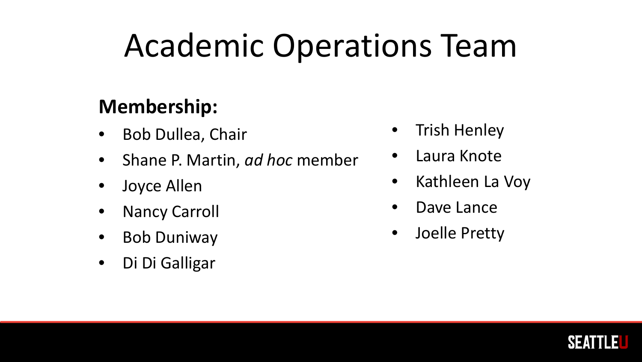## Academic Operations Team

#### **Membership:**

- Bob Dullea, Chair
- Shane P. Martin, *ad hoc* member
- Joyce Allen
- Nancy Carroll
- Bob Duniway
- Di Di Galligar
- **Trish Henley**
- Laura Knote
- Kathleen La Voy
- Dave Lance
- Joelle Pretty

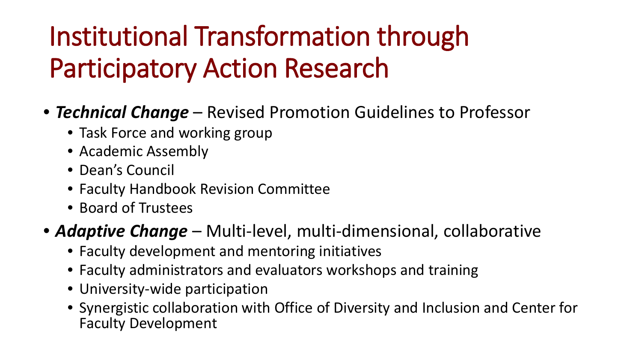# Institutional Transformation through Participatory Action Research

- *Technical Change*  Revised Promotion Guidelines to Professor
	- Task Force and working group
	- Academic Assembly
	- Dean's Council
	- Faculty Handbook Revision Committee
	- Board of Trustees

#### • *Adaptive Change* – Multi-level, multi-dimensional, collaborative

- Faculty development and mentoring initiatives
- Faculty administrators and evaluators workshops and training
- University-wide participation
- Synergistic collaboration with Office of Diversity and Inclusion and Center for Faculty Development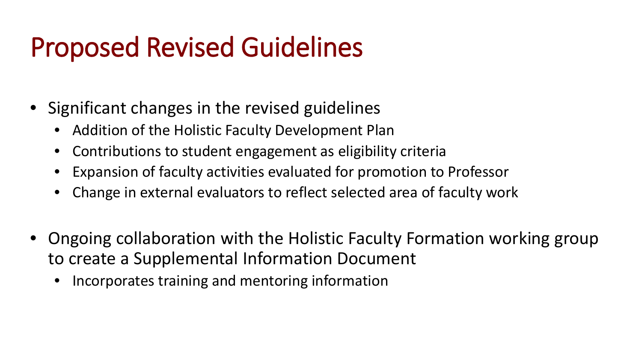# Proposed Revised Guidelines

- Significant changes in the revised guidelines
	- Addition of the Holistic Faculty Development Plan
	- Contributions to student engagement as eligibility criteria
	- Expansion of faculty activities evaluated for promotion to Professor
	- Change in external evaluators to reflect selected area of faculty work
- Ongoing collaboration with the Holistic Faculty Formation working group to create a Supplemental Information Document
	- Incorporates training and mentoring information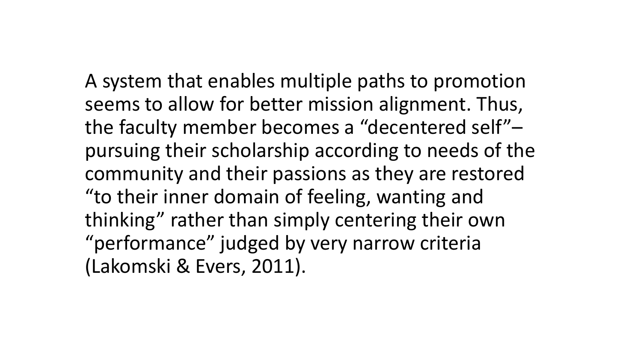A system that enables multiple paths to promotion seems to allow for better mission alignment. Thus, the faculty member becomes a "decentered self"– pursuing their scholarship according to needs of the community and their passions as they are restored "to their inner domain of feeling, wanting and thinking" rather than simply centering their own "performance" judged by very narrow criteria (Lakomski & Evers, 2011).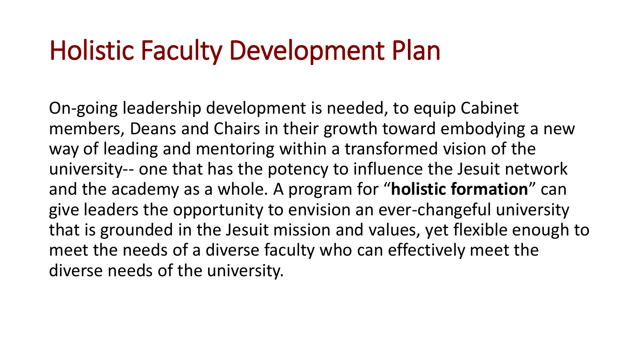# Holistic Faculty Development Plan

On-going leadership development is needed, to equip Cabinet members, Deans and Chairs in their growth toward embodying a new way of leading and mentoring within a transformed vision of the university-- one that has the potency to influence the Jesuit network and the academy as a whole. A program for "**holistic formation**" can give leaders the opportunity to envision an ever-changeful university that is grounded in the Jesuit mission and values, yet flexible enough to meet the needs of a diverse faculty who can effectively meet the diverse needs of the university.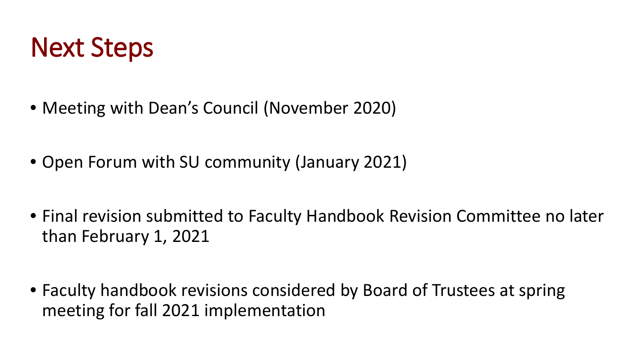

- Meeting with Dean's Council (November 2020)
- Open Forum with SU community (January 2021)
- Final revision submitted to Faculty Handbook Revision Committee no later than February 1, 2021
- Faculty handbook revisions considered by Board of Trustees at spring meeting for fall 2021 implementation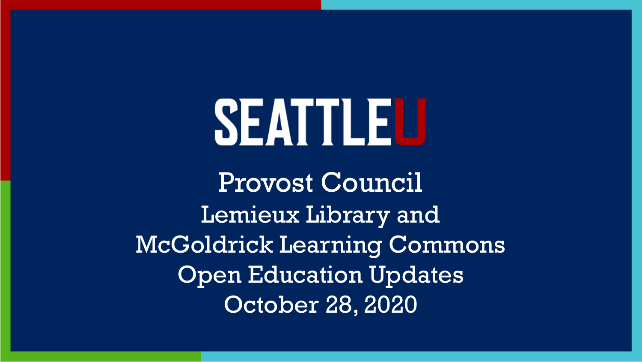# SEATTLEU

Provost Council Lemieux Library and McGoldrick Learning Commons Open Education Updates October 28, 2020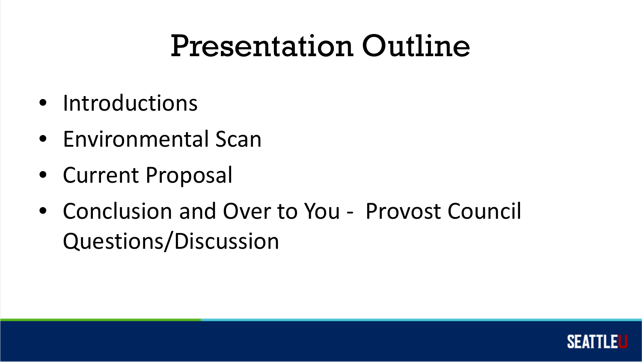## Presentation Outline

- Introductions
- Environmental Scan
- Current Proposal
- Conclusion and Over to You Provost Council Questions/Discussion

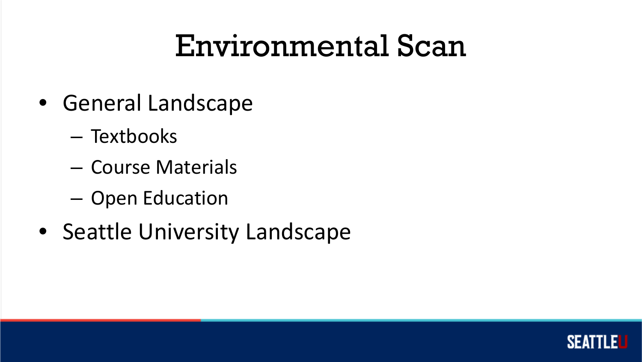## Environmental Scan

- General Landscape
	- Textbooks
	- Course Materials
	- Open Education
- Seattle University Landscape

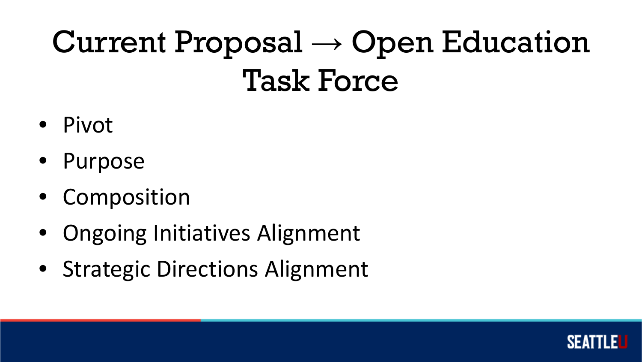## Current Proposal  $\rightarrow$  Open Education Task Force

- Pivot
- Purpose
- Composition
- Ongoing Initiatives Alignment
- Strategic Directions Alignment

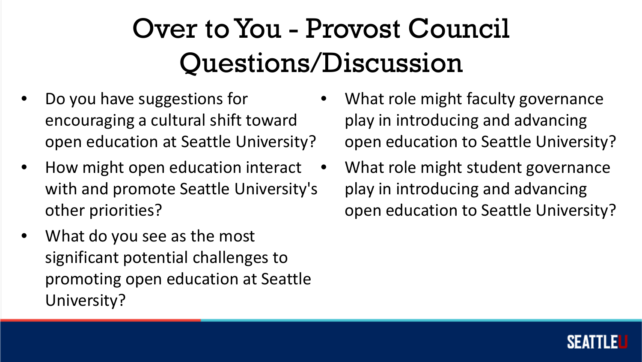### Over to You - Provost Council Questions/Discussion

- Do you have suggestions for encouraging a cultural shift toward open education at Seattle University?
- How might open education interact with and promote Seattle University's other priorities?
- What do you see as the most significant potential challenges to promoting open education at Seattle University?
- What role might faculty governance play in introducing and advancing open education to Seattle University?
- What role might student governance play in introducing and advancing open education to Seattle University?

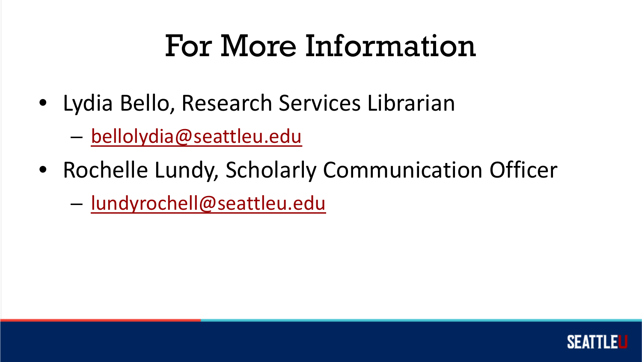## For More Information

- Lydia Bello, Research Services Librarian
	- [bellolydia@seattleu.edu](mailto:bellolydia@seattleu.edu)
- Rochelle Lundy, Scholarly Communication Officer
	- [lundyrochell@seattleu.edu](mailto:lundyrochelle@seattleu.edu)